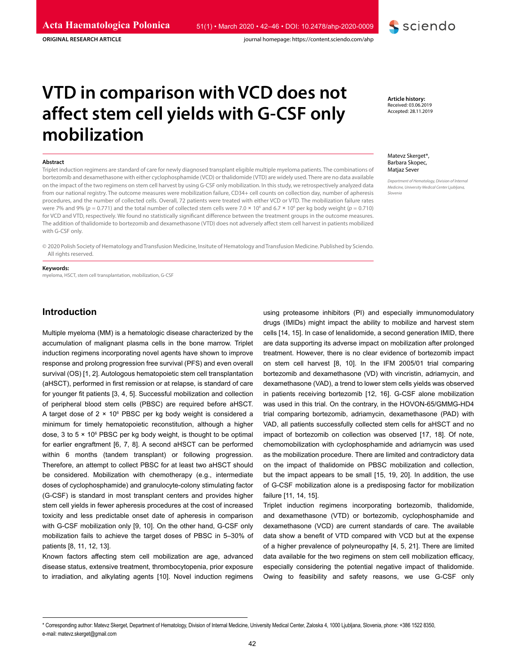journal homepage: https://content.sciendo.com/ahp



**ORIGINAL RESEARCH ARTICLE**

**VTD in comparison with VCD does not** 

# **affect stem cell yields with G-CSF only mobilization**

#### **Abstract**

Triplet induction regimens are standard of care for newly diagnosed transplant eligible multiple myeloma patients. The combinations of bortezomib and dexamethasone with either cyclophosphamide (VCD) or thalidomide (VTD) are widely used. There are no data available on the impact of the two regimens on stem cell harvest by using G-CSF only mobilization. In this study, we retrospectively analyzed data from our national registry. The outcome measures were mobilization failure, CD34+ cell counts on collection day, number of apheresis procedures, and the number of collected cells. Overall, 72 patients were treated with either VCD or VTD. The mobilization failure rates were 7% and 9% ( $p = 0.771$ ) and the total number of collected stem cells were 7.0  $\times$  10<sup>6</sup> and 6.7  $\times$  10<sup>6</sup> per kg body weight ( $p = 0.710$ ) for VCD and VTD, respectively. We found no statistically significant difference between the treatment groups in the outcome measures. The addition of thalidomide to bortezomib and dexamethasone (VTD) does not adversely affect stem cell harvest in patients mobilized with G-CSF only.

© 2020 Polish Society of Hematology and Transfusion Medicine, Insitute of Hematology and Transfusion Medicine. Published by Sciendo. All rights reserved.

#### **Keywords:**

myeloma, HSCT, stem cell transplantation, mobilization, G-CSF

# **Introduction**

Multiple myeloma (MM) is a hematologic disease characterized by the accumulation of malignant plasma cells in the bone marrow. Triplet induction regimens incorporating novel agents have shown to improve response and prolong progression free survival (PFS) and even overall survival (OS) [1, 2]. Autologous hematopoietic stem cell transplantation (aHSCT), performed in first remission or at relapse, is standard of care for younger fit patients [3, 4, 5]. Successful mobilization and collection of peripheral blood stem cells (PBSC) are required before aHSCT. A target dose of 2 × 106 PBSC per kg body weight is considered a minimum for timely hematopoietic reconstitution, although a higher dose, 3 to 5 × 10<sup>6</sup> PBSC per kg body weight, is thought to be optimal for earlier engraftment [6, 7, 8]. A second aHSCT can be performed within 6 months (tandem transplant) or following progression. Therefore, an attempt to collect PBSC for at least two aHSCT should be considered. Mobilization with chemotherapy (e.g., intermediate doses of cyclophosphamide) and granulocyte-colony stimulating factor (G-CSF) is standard in most transplant centers and provides higher stem cell yields in fewer apheresis procedures at the cost of increased toxicity and less predictable onset date of apheresis in comparison with G-CSF mobilization only [9, 10]. On the other hand, G-CSF only mobilization fails to achieve the target doses of PBSC in 5–30% of patients [8, 11, 12, 13].

Known factors affecting stem cell mobilization are age, advanced disease status, extensive treatment, thrombocytopenia, prior exposure to irradiation, and alkylating agents [10]. Novel induction regimens using proteasome inhibitors (PI) and especially immunomodulatory drugs (IMIDs) might impact the ability to mobilize and harvest stem cells [14, 15]. In case of lenalidomide, a second generation IMID, there are data supporting its adverse impact on mobilization after prolonged treatment. However, there is no clear evidence of bortezomib impact on stem cell harvest [8, 10]. In the IFM 2005/01 trial comparing bortezomib and dexamethasone (VD) with vincristin, adriamycin, and dexamethasone (VAD), a trend to lower stem cells yields was observed in patients receiving bortezomib [12, 16]. G-CSF alone mobilization was used in this trial. On the contrary, in the HOVON-65/GMMG-HD4 trial comparing bortezomib, adriamycin, dexamethasone (PAD) with VAD, all patients successfully collected stem cells for aHSCT and no impact of bortezomib on collection was observed [17, 18]. Of note, chemomobilization with cyclophosphamide and adriamycin was used as the mobilization procedure. There are limited and contradictory data on the impact of thalidomide on PBSC mobilization and collection, but the impact appears to be small [15, 19, 20]. In addition, the use of G-CSF mobilization alone is a predisposing factor for mobilization failure [11, 14, 15].

Triplet induction regimens incorporating bortezomib, thalidomide, and dexamethasone (VTD) or bortezomib, cyclophosphamide and dexamethasone (VCD) are current standards of care. The available data show a benefit of VTD compared with VCD but at the expense of a higher prevalence of polyneuropathy [4, 5, 21]. There are limited data available for the two regimens on stem cell mobilization efficacy, especially considering the potential negative impact of thalidomide. Owing to feasibility and safety reasons, we use G-CSF only

**Article history:** Received: 03.06.2019 Accepted: 28.11.2019

#### Matevz Skerget\*, Barbara Skopec, Matjaz Sever

*Department of Hematology, Division of Internal Medicine, University Medical Center Ljubljana, Slovenia*

<sup>\*</sup> Corresponding author: Matevz Skerget, Department of Hematology, Division of Internal Medicine, University Medical Center, Zaloska 4, 1000 Ljubljana, Slovenia, phone: +386 1522 8350, e-mail: matevz.skerget@gmail.com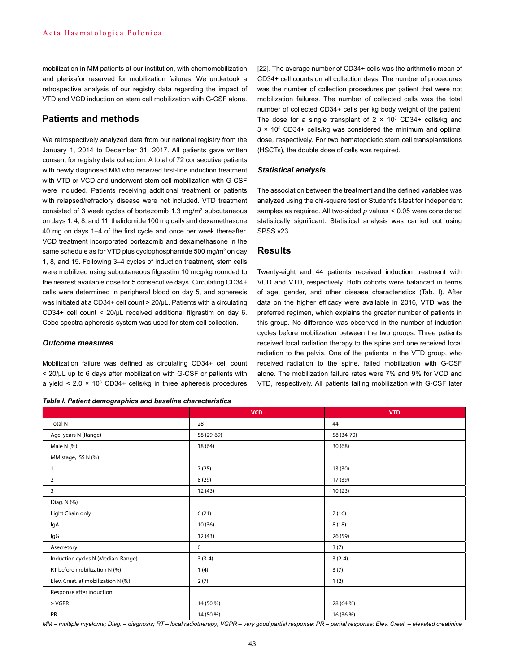mobilization in MM patients at our institution, with chemomobilization and plerixafor reserved for mobilization failures. We undertook a retrospective analysis of our registry data regarding the impact of VTD and VCD induction on stem cell mobilization with G-CSF alone.

# **Patients and methods**

We retrospectively analyzed data from our national registry from the January 1, 2014 to December 31, 2017. All patients gave written consent for registry data collection. A total of 72 consecutive patients with newly diagnosed MM who received first-line induction treatment with VTD or VCD and underwent stem cell mobilization with G-CSF were included. Patients receiving additional treatment or patients with relapsed/refractory disease were not included. VTD treatment consisted of 3 week cycles of bortezomib 1.3 mg/m2 subcutaneous on days 1, 4, 8, and 11, thalidomide 100 mg daily and dexamethasone 40 mg on days 1–4 of the first cycle and once per week thereafter. VCD treatment incorporated bortezomib and dexamethasone in the same schedule as for VTD plus cyclophosphamide 500 mg/m² on day 1, 8, and 15. Following 3–4 cycles of induction treatment, stem cells were mobilized using subcutaneous filgrastim 10 mcg/kg rounded to the nearest available dose for 5 consecutive days. Circulating CD34+ cells were determined in peripheral blood on day 5, and apheresis was initiated at a CD34+ cell count > 20/μL. Patients with a circulating CD34+ cell count < 20/μL received additional filgrastim on day 6. Cobe spectra apheresis system was used for stem cell collection.

## *Outcome measures*

Mobilization failure was defined as circulating CD34+ cell count < 20/μL up to 6 days after mobilization with G-CSF or patients with a yield < 2.0 × 10<sup>6</sup> CD34+ cells/kg in three apheresis procedures

#### *Table I. Patient demographics and baseline characteristics*

[22]. The average number of CD34+ cells was the arithmetic mean of CD34+ cell counts on all collection days. The number of procedures was the number of collection procedures per patient that were not mobilization failures. The number of collected cells was the total number of collected CD34+ cells per kg body weight of the patient. The dose for a single transplant of  $2 \times 10^6$  CD34+ cells/kg and 3 × 10<sup>6</sup> CD34+ cells/kg was considered the minimum and optimal dose, respectively. For two hematopoietic stem cell transplantations (HSCTs), the double dose of cells was required.

## *Statistical analysis*

The association between the treatment and the defined variables was analyzed using the chi-square test or Student's t-test for independent samples as required. All two-sided *p* values < 0.05 were considered statistically significant. Statistical analysis was carried out using SPSS v23.

## **Results**

Twenty-eight and 44 patients received induction treatment with VCD and VTD, respectively. Both cohorts were balanced in terms of age, gender, and other disease characteristics (Tab. I). After data on the higher efficacy were available in 2016, VTD was the preferred regimen, which explains the greater number of patients in this group. No difference was observed in the number of induction cycles before mobilization between the two groups. Three patients received local radiation therapy to the spine and one received local radiation to the pelvis. One of the patients in the VTD group, who received radiation to the spine, failed mobilization with G-CSF alone. The mobilization failure rates were 7% and 9% for VCD and VTD, respectively. All patients failing mobilization with G-CSF later

|                                    | <b>VCD</b> | <b>VTD</b> |
|------------------------------------|------------|------------|
| <b>Total N</b>                     | 28         | 44         |
| Age, years N (Range)               | 58 (29-69) | 58 (34-70) |
| Male N (%)                         | 18 (64)    | 30(68)     |
| MM stage, ISS N (%)                |            |            |
| $\mathbf{1}$                       | 7(25)      | 13(30)     |
| $\overline{2}$                     | 8(29)      | 17 (39)    |
| 3                                  | 12 (43)    | 10(23)     |
| Diag. N (%)                        |            |            |
| Light Chain only                   | 6(21)      | 7(16)      |
| lgA                                | 10(36)     | 8(18)      |
| lgG                                | 12 (43)    | 26 (59)    |
| Asecretory                         | 0          | 3(7)       |
| Induction cycles N (Median, Range) | $3(3-4)$   | $3(2-4)$   |
| RT before mobilization N (%)       | 1(4)       | 3(7)       |
| Elev. Creat. at mobilization N (%) | 2(7)       | 1(2)       |
| Response after induction           |            |            |
| $\geq$ VGPR                        | 14 (50 %)  | 28 (64 %)  |
| PR                                 | 14 (50 %)  | 16 (36 %)  |

*MM – multiple myeloma; Diag. – diagnosis; RT – local radiotherapy; VGPR – very good partial response; PR – partial response; Elev. Creat. – elevated creatinine*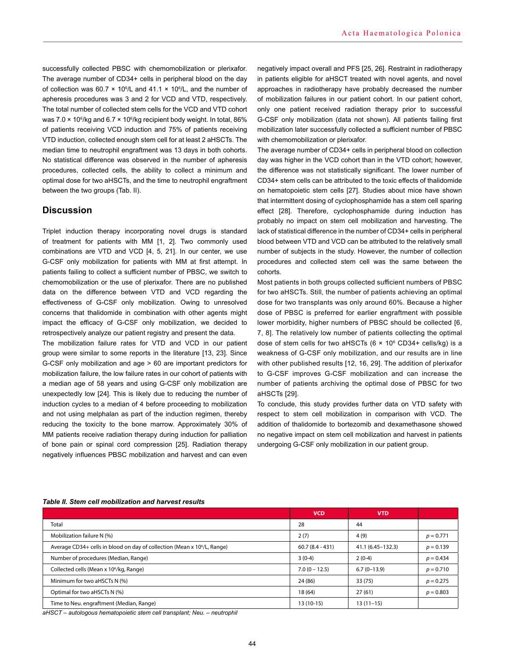successfully collected PBSC with chemomobilization or plerixafor. The average number of CD34+ cells in peripheral blood on the day of collection was 60.7  $\times$  10<sup>6</sup>/L and 41.1  $\times$  10<sup>6</sup>/L, and the number of apheresis procedures was 3 and 2 for VCD and VTD, respectively. The total number of collected stem cells for the VCD and VTD cohort was 7.0 × 10<sup>6</sup>/kg and 6.7 × 10<sup>6</sup>/kg recipient body weight. In total, 86% of patients receiving VCD induction and 75% of patients receiving VTD induction, collected enough stem cell for at least 2 aHSCTs. The median time to neutrophil engraftment was 13 days in both cohorts. No statistical difference was observed in the number of apheresis procedures, collected cells, the ability to collect a minimum and optimal dose for two aHSCTs, and the time to neutrophil engraftment between the two groups (Tab. II).

# **Discussion**

Triplet induction therapy incorporating novel drugs is standard of treatment for patients with MM [1, 2]. Two commonly used combinations are VTD and VCD [4, 5, 21]. In our center, we use G-CSF only mobilization for patients with MM at first attempt. In patients failing to collect a sufficient number of PBSC, we switch to chemomobilization or the use of plerixafor. There are no published data on the difference between VTD and VCD regarding the effectiveness of G-CSF only mobilization. Owing to unresolved concerns that thalidomide in combination with other agents might impact the efficacy of G-CSF only mobilization, we decided to retrospectively analyze our patient registry and present the data.

The mobilization failure rates for VTD and VCD in our patient group were similar to some reports in the literature [13, 23]. Since G-CSF only mobilization and age > 60 are important predictors for mobilization failure, the low failure rates in our cohort of patients with a median age of 58 years and using G-CSF only mobilization are unexpectedly low [24]. This is likely due to reducing the number of induction cycles to a median of 4 before proceeding to mobilization and not using melphalan as part of the induction regimen, thereby reducing the toxicity to the bone marrow. Approximately 30% of MM patients receive radiation therapy during induction for palliation of bone pain or spinal cord compression [25]. Radiation therapy negatively influences PBSC mobilization and harvest and can even

negatively impact overall and PFS [25, 26]. Restraint in radiotherapy in patients eligible for aHSCT treated with novel agents, and novel approaches in radiotherapy have probably decreased the number of mobilization failures in our patient cohort. In our patient cohort, only one patient received radiation therapy prior to successful G-CSF only mobilization (data not shown). All patients failing first mobilization later successfully collected a sufficient number of PBSC with chemomobilization or plerixafor.

The average number of CD34+ cells in peripheral blood on collection day was higher in the VCD cohort than in the VTD cohort; however, the difference was not statistically significant. The lower number of CD34+ stem cells can be attributed to the toxic effects of thalidomide on hematopoietic stem cells [27]. Studies about mice have shown that intermittent dosing of cyclophosphamide has a stem cell sparing effect [28]. Therefore, cyclophosphamide during induction has probably no impact on stem cell mobilization and harvesting. The lack of statistical difference in the number of CD34+ cells in peripheral blood between VTD and VCD can be attributed to the relatively small number of subjects in the study. However, the number of collection procedures and collected stem cell was the same between the cohorts.

Most patients in both groups collected sufficient numbers of PBSC for two aHSCTs. Still, the number of patients achieving an optimal dose for two transplants was only around 60%. Because a higher dose of PBSC is preferred for earlier engraftment with possible lower morbidity, higher numbers of PBSC should be collected [6, 7, 8]. The relatively low number of patients collecting the optimal dose of stem cells for two aHSCTs  $(6 \times 10^6 \text{ CD}34 + \text{cells/kg})$  is a weakness of G-CSF only mobilization, and our results are in line with other published results [12, 16, 29]. The addition of plerixafor to G-CSF improves G-CSF mobilization and can increase the number of patients archiving the optimal dose of PBSC for two aHSCTs [29].

To conclude, this study provides further data on VTD safety with respect to stem cell mobilization in comparison with VCD. The addition of thalidomide to bortezomib and dexamethasone showed no negative impact on stem cell mobilization and harvest in patients undergoing G-CSF only mobilization in our patient group.

|                                                                                      | <b>VCD</b>        | <b>VTD</b>        |             |
|--------------------------------------------------------------------------------------|-------------------|-------------------|-------------|
| Total                                                                                | 28                | 44                |             |
| Mobilization failure N (%)                                                           | 2(7)              | 4(9)              | $p = 0.771$ |
| Average CD34+ cells in blood on day of collection (Mean x 10 <sup>6</sup> /L, Range) | $60.7(8.4 - 431)$ | 41.1 (6.45–132.3) | $p = 0.139$ |
| Number of procedures (Median, Range)                                                 | $3(0-4)$          | $2(0-4)$          | $p = 0.434$ |
| Collected cells (Mean x 10 <sup>6</sup> /kg, Range)                                  | $7.0(0 - 12.5)$   | $6.7(0-13.9)$     | $p = 0.710$ |
| Minimum for two aHSCTs N (%)                                                         | 24 (86)           | 33(75)            | $p = 0.275$ |
| Optimal for two aHSCTs N (%)                                                         | 18(64)            | 27(61)            | $p = 0.803$ |
| Time to Neu. engraftment (Median, Range)                                             | $13(10-15)$       | $13(11-15)$       |             |

#### *Table II. Stem cell mobilization and harvest results*

*aHSCT – autologous hematopoietic stem cell transplant; Neu. – neutrophil*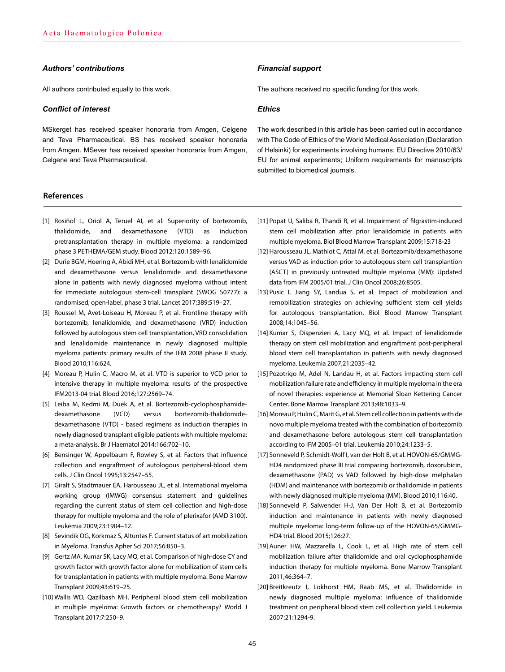## *Authors' contributions*

All authors contributed equally to this work.

### *Conflict of interest*

MSkerget has received speaker honoraria from Amgen, Celgene and Teva Pharmaceutical. BS has received speaker honoraria from Amgen. MSever has received speaker honoraria from Amgen, Celgene and Teva Pharmaceutical.

## **References**

- [1] Rosiñol L, Oriol A, Teruel AI, et al. Superiority of bortezomib, thalidomide, and dexamethasone (VTD) as induction pretransplantation therapy in multiple myeloma: a randomized phase 3 PETHEMA/GEM study. Blood 2012;120:1589–96.
- [2] Durie BGM, Hoering A, Abidi MH, et al. Bortezomib with lenalidomide and dexamethasone versus lenalidomide and dexamethasone alone in patients with newly diagnosed myeloma without intent for immediate autologous stem-cell transplant (SWOG S0777): a randomised, open-label, phase 3 trial. Lancet 2017;389:519–27.
- [3] Roussel M, Avet-Loiseau H, Moreau P, et al. Frontline therapy with bortezomib, lenalidomide, and dexamethasone (VRD) induction followed by autologous stem cell transplantation, VRD consolidation and lenalidomide maintenance in newly diagnosed multiple myeloma patients: primary results of the IFM 2008 phase II study. Blood 2010;116:624.
- [4] Moreau P, Hulin C, Macro M, et al. VTD is superior to VCD prior to intensive therapy in multiple myeloma: results of the prospective IFM2013-04 trial. Blood 2016;127:2569–74.
- [5] Leiba M, Kedmi M, Duek A, et al. Bortezomib-cyclophosphamidedexamethasone (VCD) versus bortezomib-thalidomidedexamethasone (VTD) - based regimens as induction therapies in newly diagnosed transplant eligible patients with multiple myeloma: a meta-analysis. Br J Haematol 2014;166:702–10.
- [6] Bensinger W, Appelbaum F, Rowley S, et al. Factors that influence collection and engraftment of autologous peripheral-blood stem cells. J Clin Oncol 1995;13:2547–55.
- [7] Giralt S, Stadtmauer EA, Harousseau JL, et al. International myeloma working group (IMWG) consensus statement and guidelines regarding the current status of stem cell collection and high-dose therapy for multiple myeloma and the role of plerixafor (AMD 3100). Leukemia 2009;23:1904–12.
- [8] Sevindik OG, Korkmaz S, Altuntas F. Current status of art mobilization in Myeloma. Transfus Apher Sci 2017;56:850–3.
- [9] Gertz MA, Kumar SK, Lacy MQ, et al. Comparison of high-dose CY and growth factor with growth factor alone for mobilization of stem cells for transplantation in patients with multiple myeloma. Bone Marrow Transplant 2009;43:619–25.
- [10] Wallis WD, Qazilbash MH. Peripheral blood stem cell mobilization in multiple myeloma: Growth factors or chemotherapy? World J Transplant 2017;7:250–9.

#### *Financial support*

The authors received no specific funding for this work.

#### *Ethics*

The work described in this article has been carried out in accordance with The Code of Ethics of the World Medical Association (Declaration of Helsinki) for experiments involving humans; EU Directive 2010/63/ EU for animal experiments; Uniform requirements for manuscripts submitted to biomedical journals.

- [11] Popat U, Saliba R, Thandi R, et al. Impairment of filgrastim-induced stem cell mobilization after prior lenalidomide in patients with multiple myeloma. Biol Blood Marrow Transplant 2009;15:718-23
- [12] Harousseau JL, Mathiot C, Attal M, et al. Bortezomib/dexamethasone versus VAD as induction prior to autologous stem cell transplantion (ASCT) in previously untreated multiple myeloma (MM): Updated data from IFM 2005/01 trial. J Clin Oncol 2008;26:8505.
- [13] Pusic I, Jiang SY, Landua S, et al. Impact of mobilization and remobilization strategies on achieving sufficient stem cell yields for autologous transplantation. Biol Blood Marrow Transplant 2008;14:1045–56.
- [14] Kumar S, Dispenzieri A, Lacy MQ, et al. Impact of lenalidomide therapy on stem cell mobilization and engraftment post-peripheral blood stem cell transplantation in patients with newly diagnosed myeloma. Leukemia 2007;21:2035–42.
- [15] Pozotrigo M, Adel N, Landau H, et al. Factors impacting stem cell mobilization failure rate and efficiency in multiple myeloma in the era of novel therapies: experience at Memorial Sloan Kettering Cancer Center. Bone Marrow Transplant 2013;48:1033–9.
- [16] Moreau P, Hulin C, Marit G, et al. Stem cell collection in patients with de novo multiple myeloma treated with the combination of bortezomib and dexamethasone before autologous stem cell transplantation according to IFM 2005–01 trial. Leukemia 2010;24:1233–5.
- [17] Sonneveld P, Schmidt-Wolf I, van der Holt B, et al. HOVON-65/GMMG-HD4 randomized phase III trial comparing bortezomib, doxorubicin, dexamethasone (PAD) vs VAD followed by high-dose melphalan (HDM) and maintenance with bortezomib or thalidomide in patients with newly diagnosed multiple myeloma (MM). Blood 2010;116:40.
- [18] Sonneveld P, Salwender H-J, Van Der Holt B, et al. Bortezomib induction and maintenance in patients with newly diagnosed multiple myeloma: long-term follow-up of the HOVON-65/GMMG-HD4 trial. Blood 2015;126:27.
- [19] Auner HW, Mazzarella L, Cook L, et al. High rate of stem cell mobilization failure after thalidomide and oral cyclophosphamide induction therapy for multiple myeloma. Bone Marrow Transplant 2011;46:364–7.
- [20] Breitkreutz I, Lokhorst HM, Raab MS, et al. Thalidomide in newly diagnosed multiple myeloma: influence of thalidomide treatment on peripheral blood stem cell collection yield. Leukemia 2007;21:1294-9.